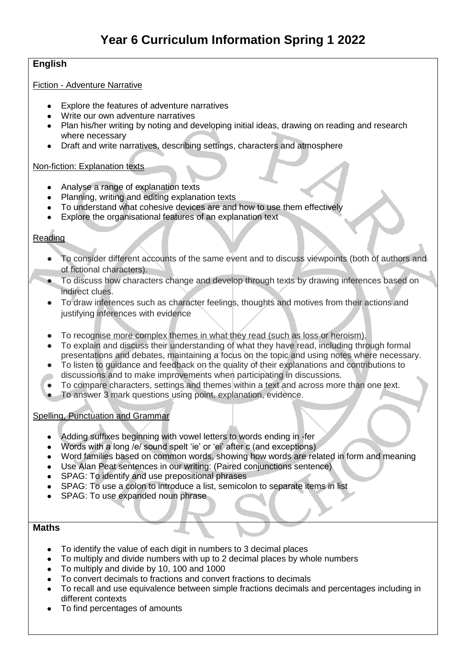# **English**

#### Fiction - Adventure Narrative

- Explore the features of adventure narratives
- Write our own adventure narratives
- Plan his/her writing by noting and developing initial ideas, drawing on reading and research where necessary
- Draft and write narratives, describing settings, characters and atmosphere

#### Non-fiction: Explanation texts

- Analyse a range of explanation texts
- Planning, writing and editing explanation texts
- To understand what cohesive devices are and how to use them effectively
- Explore the organisational features of an explanation text

# Reading

- To consider different accounts of the same event and to discuss viewpoints (both of authors and of fictional characters).
- To discuss how characters change and develop through texts by drawing inferences based on indirect clues.
- To draw inferences such as character feelings, thoughts and motives from their actions and justifying inferences with evidence
- To recognise more complex themes in what they read (such as loss or heroism).
- To explain and discuss their understanding of what they have read, including through formal presentations and debates, maintaining a focus on the topic and using notes where necessary.
- To listen to guidance and feedback on the quality of their explanations and contributions to discussions and to make improvements when participating in discussions.
- To compare characters, settings and themes within a text and across more than one text.
- To answer 3 mark questions using point, explanation, evidence.

### Spelling, Punctuation and Grammar

- Adding suffixes beginning with vowel letters to words ending in -fer
- Words with a long /e/ sound spelt 'ie' or 'ei' after c (and exceptions)
- Word families based on common words, showing how words are related in form and meaning
- Use Alan Peat sentences in our writing: (Paired conjunctions sentence)
- SPAG: To identify and use prepositional phrases
- SPAG: To use a colon to introduce a list, semicolon to separate items in list
- SPAG: To use expanded noun phrase

### **Maths**

- To identify the value of each digit in numbers to 3 decimal places
- To multiply and divide numbers with up to 2 decimal places by whole numbers
- To multiply and divide by 10, 100 and 1000
- To convert decimals to fractions and convert fractions to decimals
- To recall and use equivalence between simple fractions decimals and percentages including in different contexts
- To find percentages of amounts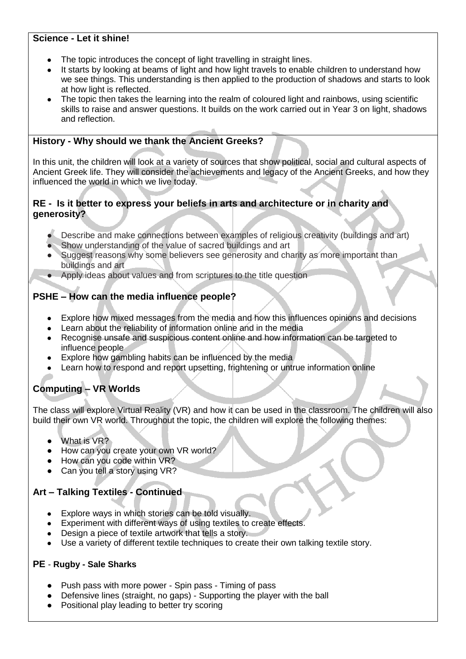# **Science - Let it shine!**

- The topic introduces the concept of light travelling in straight lines.
- It starts by looking at beams of light and how light travels to enable children to understand how we see things. This understanding is then applied to the production of shadows and starts to look at how light is reflected.
- The topic then takes the learning into the realm of coloured light and rainbows, using scientific skills to raise and answer questions. It builds on the work carried out in Year 3 on light, shadows and reflection.

# **History - Why should we thank the Ancient Greeks?**

In this unit, the children will look at a variety of sources that show political, social and cultural aspects of Ancient Greek life. They will consider the achievements and legacy of the Ancient Greeks, and how they influenced the world in which we live today.

# **RE - Is it better to express your beliefs in arts and architecture or in charity and generosity?**

- Describe and make connections between examples of religious creativity (buildings and art)
- Show understanding of the value of sacred buildings and art
- Suggest reasons why some believers see generosity and charity as more important than buildings and art
- Apply ideas about values and from scriptures to the title question

# **PSHE – How can the media influence people?**

- Explore how mixed messages from the media and how this influences opinions and decisions
- Learn about the reliability of information online and in the media
- Recognise unsafe and suspicious content online and how information can be targeted to influence people
- Explore how gambling habits can be influenced by the media
- Learn how to respond and report upsetting, frightening or untrue information online

# **Computing – VR Worlds**

The class will explore Virtual Reality (VR) and how it can be used in the classroom. The children will also build their own VR world. Throughout the topic, the children will explore the following themes:

- What is VR?
- How can you create your own VR world?
- How can you code within VR?
- Can you tell a story using VR?

# **Art – Talking Textiles - Continued**

- Explore ways in which stories can be told visually.
- Experiment with different ways of using textiles to create effects.
- Design a piece of textile artwork that tells a story.
- Use a variety of different textile techniques to create their own talking textile story.

### **PE** - **Rugby - Sale Sharks**

- Push pass with more power Spin pass Timing of pass
- Defensive lines (straight, no gaps) Supporting the player with the ball
- Positional play leading to better try scoring